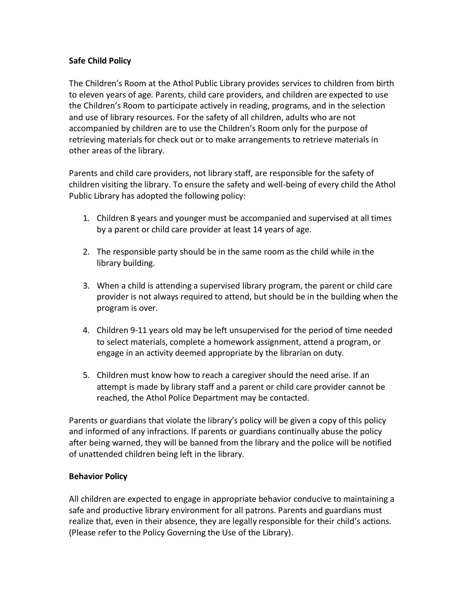## **Safe Child Policy**

The Children's Room at the Athol Public Library provides services to children from birth to eleven years of age. Parents, child care providers, and children are expected to use the Children's Room to participate actively in reading, programs, and in the selection and use of library resources. For the safety of all children, adults who are not accompanied by children are to use the Children's Room only for the purpose of retrieving materials for check out or to make arrangements to retrieve materials in other areas of the library.

Parents and child care providers, not library staff, are responsible for the safety of children visiting the library. To ensure the safety and well-being of every child the Athol Public Library has adopted the following policy:

- 1. Children 8 years and younger must be accompanied and supervised at all times by a parent or child care provider at least 14 years of age.
- 2. The responsible party should be in the same room as the child while in the library building.
- 3. When a child is attending a supervised library program, the parent or child care provider is not always required to attend, but should be in the building when the program is over.
- 4. Children 9-11 years old may be left unsupervised for the period of time needed to select materials, complete a homework assignment, attend a program, or engage in an activity deemed appropriate by the librarian on duty.
- 5. Children must know how to reach a caregiver should the need arise. If an attempt is made by library staff and a parent or child care provider cannot be reached, the Athol Police Department may be contacted.

Parents or guardians that violate the library's policy will be given a copy of this policy and informed of any infractions. If parents or guardians continually abuse the policy after being warned, they will be banned from the library and the police will be notified of unattended children being left in the library.

## **Behavior Policy**

All children are expected to engage in appropriate behavior conducive to maintaining a safe and productive library environment for all patrons. Parents and guardians must realize that, even in their absence, they are legally responsible for their child's actions. (Please refer to the Policy Governing the Use of the Library).